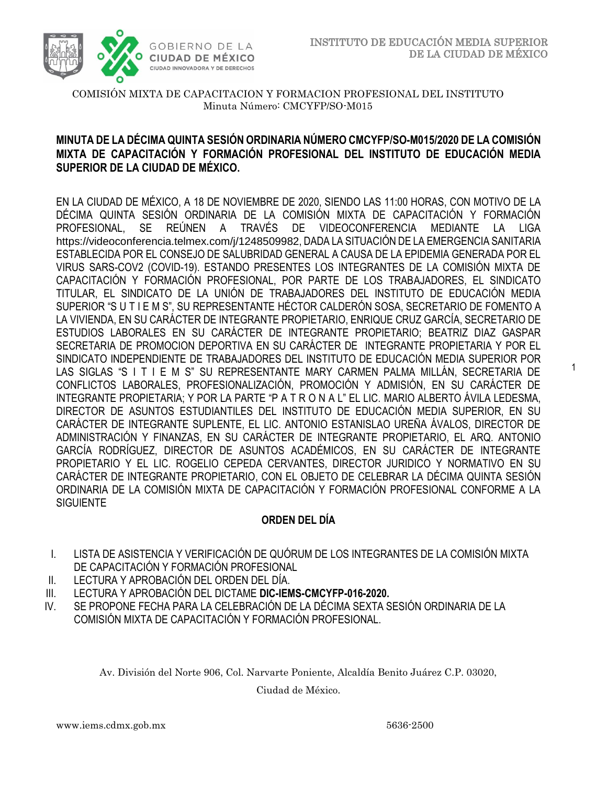1



COMISIÓN MIXTA DE CAPACITACION Y FORMACION PROFESIONAL DEL INSTITUTO Minuta Número: CMCYFP/SO-M015

# /2020 **MINUTA DE LA DÉCIMA QUINTA SESIÓN ORDINARIA NÚMERO CMCYFP/SO-M015/2020 DE LA COMISIÓN SUPERIOR DE LA CIUDAD DE MÉXICO. MIXTA DE CAPACITACIÓN Y FORMACIÓN PROFESIONAL DEL INSTITUTO DE EDUCACIÓN MEDIA**

EN LA CIUDAD DE MÉXICO, A 18 DE NOVIEMBRE DE 2020, SIENDO LAS 11:00 HORAS, CON MOTIVO DE LA DÉCIMA QUINTA SESIÓN ORDINARIA DE LA COMISIÓN MIXTA DE CAPACITACIÓN Y FORMACIÓN PROFESIONAL, SE REÚNEN A TRAVÉS DE VIDEOCONFERENCIA MEDIANTE LA LIGA https://videoconferencia.telmex.com/j/1248509982, DADA LA SITUACIÓN DE LA EMERGENCIA SANITARIA ESTABLECIDA POR EL CONSEJO DE SALUBRIDAD GENERAL A CAUSA DE LA EPIDEMIA GENERADA POR EL VIRUS SARS-COV2 (COVID-19). ESTANDO PRESENTES LOS INTEGRANTES DE LA COMISIÓN MIXTA DE CAPACITACIÓN Y FORMACIÓN PROFESIONAL, POR PARTE DE LOS TRABAJADORES, EL SINDICATO TITULAR, EL SINDICATO DE LA UNIÓN DE TRABAJADORES DEL INSTITUTO DE EDUCACIÓN MEDIA SUPERIOR "S U T I E M S", SU REPRESENTANTE HÉCTOR CALDERÓN SOSA, SECRETARIO DE FOMENTO A LA VIVIENDA, EN SU CARÁCTER DE INTEGRANTE PROPIETARIO, ENRIQUE CRUZ GARCÍA, SECRETARIO DE ESTUDIOS LABORALES EN SU CARÁCTER DE INTEGRANTE PROPIETARIO; BEATRIZ DIAZ GASPAR SECRETARIA DE PROMOCION DEPORTIVA EN SU CARÁCTER DE INTEGRANTE PROPIETARIA Y POR EL SINDICATO INDEPENDIENTE DE TRABAJADORES DEL INSTITUTO DE EDUCACIÓN MEDIA SUPERIOR POR LAS SIGLAS "S I T I E M S" SU REPRESENTANTE MARY CARMEN PALMA MILLÁN, SECRETARIA DE CONFLICTOS LABORALES, PROFESIONALIZACIÓN, PROMOCIÓN Y ADMISIÓN, EN SU CARÁCTER DE INTEGRANTE PROPIETARIA; Y POR LA PARTE "P A T R O N A L" EL LIC. MARIO ALBERTO ÁVILA LEDESMA, DIRECTOR DE ASUNTOS ESTUDIANTILES DEL INSTITUTO DE EDUCACIÓN MEDIA SUPERIOR, EN SU CARÁCTER DE INTEGRANTE SUPLENTE, EL LIC. ANTONIO ESTANISLAO UREÑA ÁVALOS, DIRECTOR DE ADMINISTRACIÓN Y FINANZAS, EN SU CARÁCTER DE INTEGRANTE PROPIETARIO, EL ARQ. ANTONIO GARCÍA RODRÍGUEZ, DIRECTOR DE ASUNTOS ACADÉMICOS, EN SU CARÁCTER DE INTEGRANTE PROPIETARIO Y EL LIC. ROGELIO CEPEDA CERVANTES, DIRECTOR JURIDICO Y NORMATIVO EN SU CARÁCTER DE INTEGRANTE PROPIETARIO, CON EL OBJETO DE CELEBRAR LA DÉCIMA QUINTA SESIÓN ORDINARIA DE LA COMISIÓN MIXTA DE CAPACITACIÓN Y FORMACIÓN PROFESIONAL CONFORME A LA **SIGUIENTE** 

## **ORDEN DEL DÍA**

- I. LISTA DE ASISTENCIA Y VERIFICACIÓN DE QUÓRUM DE LOS INTEGRANTES DE LA COMISIÓN MIXTA DE CAPACITACIÓN Y FORMACIÓN PROFESIONAL
- II. LECTURA Y APROBACIÓN DEL ORDEN DEL DÍA.
- III. LECTURA Y APROBACIÓN DEL DICTAME **DIC-IEMS-CMCYFP-016-2020.**
- IV. SE PROPONE FECHA PARA LA CELEBRACIÓN DE LA DÉCIMA SEXTA SESIÓN ORDINARIA DE LA COMISIÓN MIXTA DE CAPACITACIÓN Y FORMACIÓN PROFESIONAL.

Av. División del Norte 906, Col. Narvarte Poniente, Alcaldía Benito Juárez C.P. 03020,

Ciudad de México.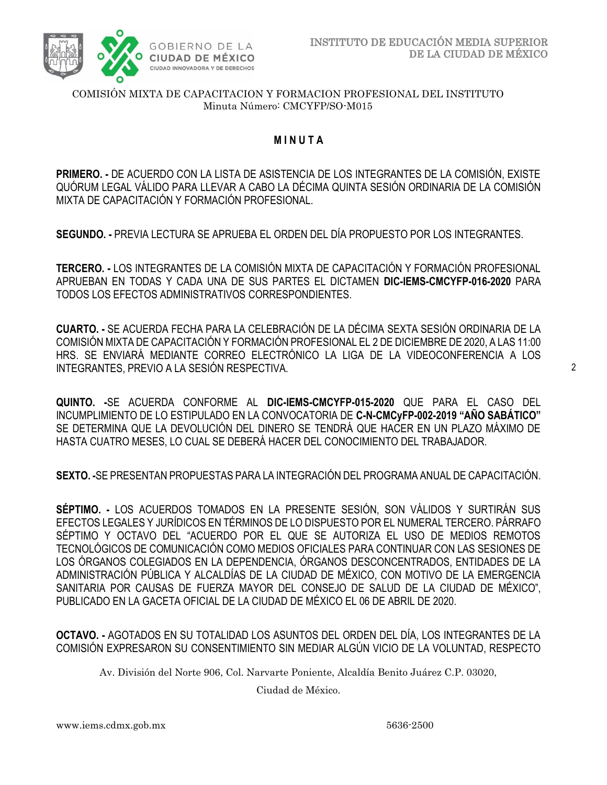

# /2020 **M I N U T A**

**PRIMERO. -** DE ACUERDO CON LA LISTA DE ASISTENCIA DE LOS INTEGRANTES DE LA COMISIÓN, EXISTE QUÓRUM LEGAL VÁLIDO PARA LLEVAR A CABO LA DÉCIMA QUINTA SESIÓN ORDINARIA DE LA COMISIÓN MIXTA DE CAPACITACIÓN Y FORMACIÓN PROFESIONAL.

**SEGUNDO. -** PREVIA LECTURA SE APRUEBA EL ORDEN DEL DÍA PROPUESTO POR LOS INTEGRANTES.

**TERCERO. -** LOS INTEGRANTES DE LA COMISIÓN MIXTA DE CAPACITACIÓN Y FORMACIÓN PROFESIONAL APRUEBAN EN TODAS Y CADA UNA DE SUS PARTES EL DICTAMEN **DIC-IEMS-CMCYFP-016-2020** PARA TODOS LOS EFECTOS ADMINISTRATIVOS CORRESPONDIENTES.

**CUARTO. -** SE ACUERDA FECHA PARA LA CELEBRACIÓN DE LA DÉCIMA SEXTA SESIÓN ORDINARIA DE LA COMISIÓN MIXTA DE CAPACITACIÓN Y FORMACIÓN PROFESIONAL EL 2 DE DICIEMBRE DE 2020, A LAS 11:00 HRS. SE ENVIARÁ MEDIANTE CORREO ELECTRÓNICO LA LIGA DE LA VIDEOCONFERENCIA A LOS INTEGRANTES, PREVIO A LA SESIÓN RESPECTIVA.

**QUINTO. -**SE ACUERDA CONFORME AL **DIC-IEMS-CMCYFP-015-2020** QUE PARA EL CASO DEL INCUMPLIMIENTO DE LO ESTIPULADO EN LA CONVOCATORIA DE **C-N-CMCyFP-002-2019 "AÑO SABÁTICO"** SE DETERMINA QUE LA DEVOLUCIÓN DEL DINERO SE TENDRÁ QUE HACER EN UN PLAZO MÁXIMO DE HASTA CUATRO MESES, LO CUAL SE DEBERÁ HACER DEL CONOCIMIENTO DEL TRABAJADOR.

**SEXTO. -**SE PRESENTAN PROPUESTAS PARA LA INTEGRACIÓN DEL PROGRAMA ANUAL DE CAPACITACIÓN.

**SÉPTIMO. -** LOS ACUERDOS TOMADOS EN LA PRESENTE SESIÓN, SON VÁLIDOS Y SURTIRÁN SUS EFECTOS LEGALES Y JURÍDICOS EN TÉRMINOS DE LO DISPUESTO POR EL NUMERAL TERCERO. PÁRRAFO SÉPTIMO Y OCTAVO DEL "ACUERDO POR EL QUE SE AUTORIZA EL USO DE MEDIOS REMOTOS TECNOLÓGICOS DE COMUNICACIÓN COMO MEDIOS OFICIALES PARA CONTINUAR CON LAS SESIONES DE LOS ÓRGANOS COLEGIADOS EN LA DEPENDENCIA, ÓRGANOS DESCONCENTRADOS, ENTIDADES DE LA ADMINISTRACIÓN PÚBLICA Y ALCALDÍAS DE LA CIUDAD DE MÉXICO, CON MOTIVO DE LA EMERGENCIA SANITARIA POR CAUSAS DE FUERZA MAYOR DEL CONSEJO DE SALUD DE LA CIUDAD DE MÉXICO", PUBLICADO EN LA GACETA OFICIAL DE LA CIUDAD DE MÉXICO EL 06 DE ABRIL DE 2020.

**OCTAVO. -** AGOTADOS EN SU TOTALIDAD LOS ASUNTOS DEL ORDEN DEL DÍA, LOS INTEGRANTES DE LA COMISIÓN EXPRESARON SU CONSENTIMIENTO SIN MEDIAR ALGÚN VICIO DE LA VOLUNTAD, RESPECTO

Av. División del Norte 906, Col. Narvarte Poniente, Alcaldía Benito Juárez C.P. 03020,

Ciudad de México.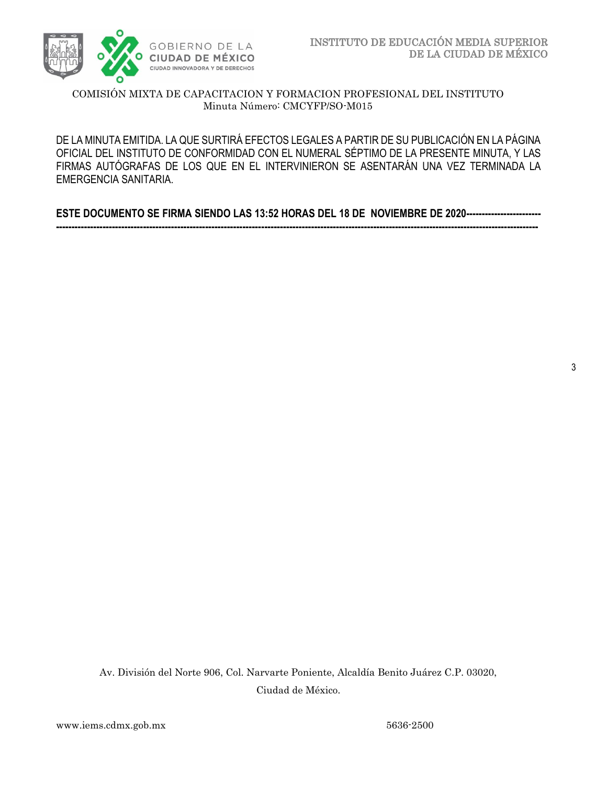

DE LA MINUTA EMITIDA. LA QUE SURTIRÁ EFECTOS LEGALES A PARTIR DE SU PUBLICACIÓN EN LA PÁGINA FIRMAS AUTÓGRAFAS DE LOS QUE EN EL INTERVINIERON SE ASENTARÁN UNA VEZ TERMINADA LA OFICIAL DEL INSTITUTO DE CONFORMIDAD CON EL NUMERAL SÉPTIMO DE LA PRESENTE MINUTA, Y LAS EMERGENCIA SANITARIA.

**ESTE DOCUMENTO SE FIRMA SIENDO LAS 13:52 HORAS DEL 18 DE NOVIEMBRE DE 2020------------------------ -----------------------------------------------------------------------------------------------------------------------------------------------------------**

3

Av. División del Norte 906, Col. Narvarte Poniente, Alcaldía Benito Juárez C.P. 03020, Ciudad de México.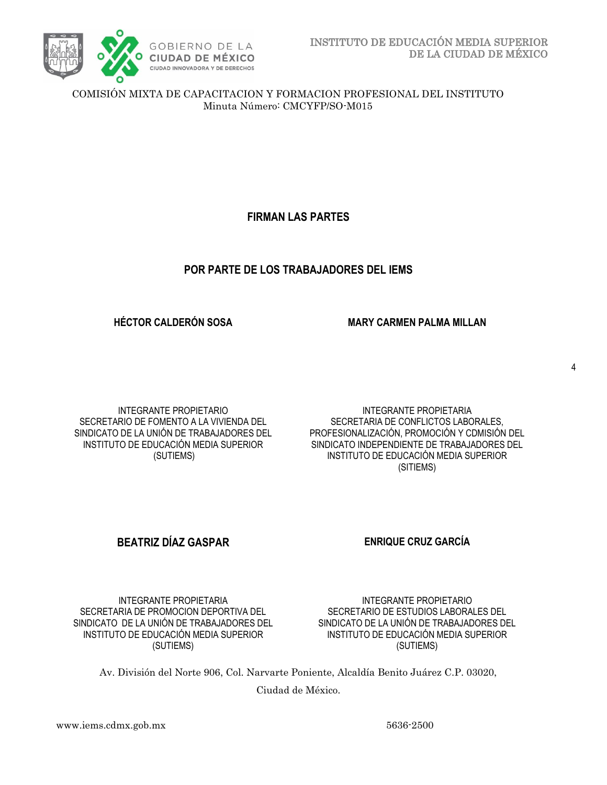

**FIRMAN LAS PARTES**

# **POR PARTE DE LOS TRABAJADORES DEL IEMS**

**HÉCTOR CALDERÓN SOSA MARY CARMEN PALMA MILLAN**

INTEGRANTE PROPIETARIO SECRETARIO DE FOMENTO A LA VIVIENDA DEL SINDICATO DE LA UNIÓN DE TRABAJADORES DEL INSTITUTO DE EDUCACIÓN MEDIA SUPERIOR (SUTIEMS)

INTEGRANTE PROPIETARIA SECRETARIA DE CONFLICTOS LABORALES, PROFESIONALIZACIÓN, PROMOCIÓN Y CDMISIÓN DEL SINDICATO INDEPENDIENTE DE TRABAJADORES DEL INSTITUTO DE EDUCACIÓN MEDIA SUPERIOR (SITIEMS)

# **BEATRIZ DÍAZ GASPAR ENRIQUE CRUZ GARCÍA**

INTEGRANTE PROPIETARIA SECRETARIA DE PROMOCION DEPORTIVA DEL SINDICATO DE LA UNIÓN DE TRABAJADORES DEL INSTITUTO DE EDUCACIÓN MEDIA SUPERIOR (SUTIEMS)

INTEGRANTE PROPIETARIO SECRETARIO DE ESTUDIOS LABORALES DEL SINDICATO DE LA UNIÓN DE TRABAJADORES DEL INSTITUTO DE EDUCACIÓN MEDIA SUPERIOR (SUTIEMS)

Av. División del Norte 906, Col. Narvarte Poniente, Alcaldía Benito Juárez C.P. 03020,

Ciudad de México.